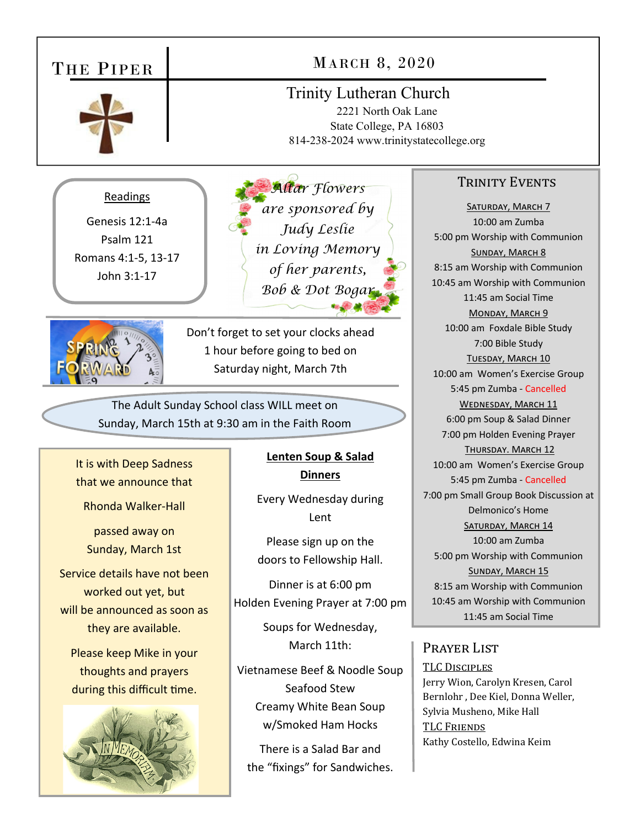#### THE PIPER Trinity Lutheran Church 2221 North Oak Lane State College, PA 16803 814-238-2024 www.trinitystatecollege.org MARCH 8, 2020 TRINITY EVENTS SATURDAY, MARCH 7 10:00 am Zumba 5:00 pm Worship with Communion SUNDAY, MARCH 8 8:15 am Worship with Communion 10:45 am Worship with Communion 11:45 am Social Time MONDAY, MARCH 9 10:00 am Foxdale Bible Study 7:00 Bible Study TUESDAY, MARCH 10 10:00 am Women's Exercise Group 5:45 pm Zumba ‐ Cancelled WEDNESDAY, MARCH 11 6:00 pm Soup & Salad Dinner 7:00 pm Holden Evening Prayer THURSDAY. MARCH 12 10:00 am Women's Exercise Group 5:45 pm Zumba ‐ Cancelled 7:00 pm Small Group Book Discussion at Delmonico's Home SATURDAY, MARCH 14 10:00 am Zumba 5:00 pm Worship with Communion SUNDAY, MARCH 15 8:15 am Worship with Communion 10:45 am Worship with Communion 11:45 am Social Time Prayer List TLC DISCIPLES Jerry Wion, Carolyn Kresen, Carol Bernlohr , Dee Kiel, Donna Weller, Sylvia Musheno, Mike Hall TLC FRIENDS Kathy Costello, Edwina Keim *Altar Flowers are sponsored by Judy Leslie in Loving Memory of her parents, Bob & Dot Bogar*  Readings Genesis 12:1‐4a Psalm 121 Romans 4:1‐5, 13‐17 John 3:1‐17 Don't forget to set your clocks ahead 1 hour before going to bed on Saturday night, March 7th The Adult Sunday School class WILL meet on Sunday, March 15th at 9:30 am in the Faith Room It is with Deep Sadness that we announce that Rhonda Walker‐Hall passed away on Sunday, March 1st Service details have not been worked out yet, but will be announced as soon as they are available. Please keep Mike in your thoughts and prayers during this difficult time. **Lenten Soup & Salad Dinners**  Every Wednesday during Lent Please sign up on the doors to Fellowship Hall. Dinner is at 6:00 pm Holden Evening Prayer at 7:00 pm Soups for Wednesday, March 11th: Vietnamese Beef & Noodle Soup Seafood Stew Creamy White Bean Soup w/Smoked Ham Hocks There is a Salad Bar and the "fixings" for Sandwiches.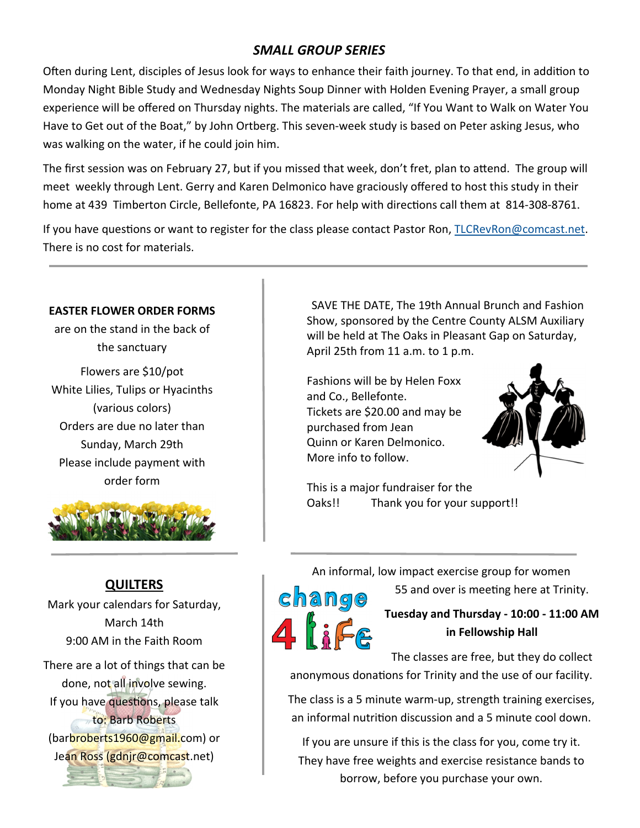# *SMALL GROUP SERIES*

Often during Lent, disciples of Jesus look for ways to enhance their faith journey. To that end, in addition to Monday Night Bible Study and Wednesday Nights Soup Dinner with Holden Evening Prayer, a small group experience will be offered on Thursday nights. The materials are called, "If You Want to Walk on Water You Have to Get out of the Boat," by John Ortberg. This seven-week study is based on Peter asking Jesus, who was walking on the water, if he could join him.

The first session was on February 27, but if you missed that week, don't fret, plan to attend. The group will meet weekly through Lent. Gerry and Karen Delmonico have graciously offered to host this study in their home at 439 Timberton Circle, Bellefonte, PA 16823. For help with directions call them at 814-308-8761.

If you have questions or want to register for the class please contact Pastor Ron, TLCRevRon@comcast.net. There is no cost for materials.

#### **EASTER FLOWER ORDER FORMS**

are on the stand in the back of the sanctuary

Flowers are \$10/pot White Lilies, Tulips or Hyacinths (various colors) Orders are due no later than Sunday, March 29th Please include payment with order form



## **QUILTERS**

Mark your calendars for Saturday, March 14th 9:00 AM in the Faith Room

There are a lot of things that can be done, not all involve sewing. If you have questions, please talk to: Barb Roberts (barbroberts1960@gmail.com) or Jean Ross (gdnjr@comcast.net)



 SAVE THE DATE, The 19th Annual Brunch and Fashion Show, sponsored by the Centre County ALSM Auxiliary will be held at The Oaks in Pleasant Gap on Saturday, April 25th from 11 a.m. to 1 p.m.

Fashions will be by Helen Foxx and Co., Bellefonte. Tickets are \$20.00 and may be purchased from Jean Quinn or Karen Delmonico. More info to follow.



This is a major fundraiser for the Oaks!! Thank you for your support!!

An informal, low impact exercise group for women

change

55 and over is meeting here at Trinity.

**Tuesday and Thursday ‐ 10:00 ‐ 11:00 AM in Fellowship Hall** 

The classes are free, but they do collect anonymous donations for Trinity and the use of our facility.

The class is a 5 minute warm‐up, strength training exercises, an informal nutrition discussion and a 5 minute cool down.

If you are unsure if this is the class for you, come try it. They have free weights and exercise resistance bands to borrow, before you purchase your own.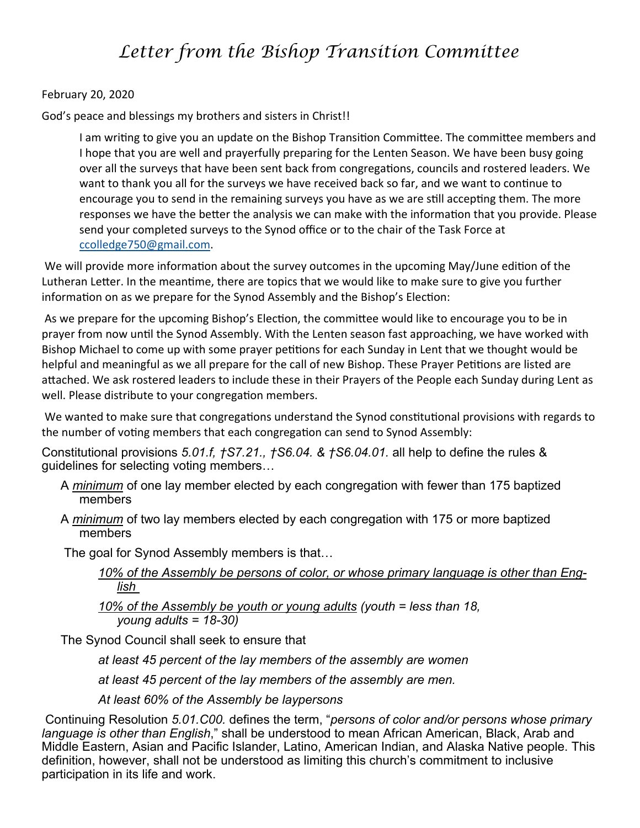# *Letter from the Bishop Transition Committee*

### February 20, 2020

God's peace and blessings my brothers and sisters in Christ!!

I am writing to give you an update on the Bishop Transition Committee. The committee members and I hope that you are well and prayerfully preparing for the Lenten Season. We have been busy going over all the surveys that have been sent back from congregations, councils and rostered leaders. We want to thank you all for the surveys we have received back so far, and we want to continue to encourage you to send in the remaining surveys you have as we are still accepting them. The more responses we have the better the analysis we can make with the information that you provide. Please send your completed surveys to the Synod office or to the chair of the Task Force at ccolledge750@gmail.com.

We will provide more information about the survey outcomes in the upcoming May/June edition of the Lutheran Letter. In the meantime, there are topics that we would like to make sure to give you further information on as we prepare for the Synod Assembly and the Bishop's Election:

As we prepare for the upcoming Bishop's Election, the committee would like to encourage you to be in prayer from now unƟl the Synod Assembly. With the Lenten season fast approaching, we have worked with Bishop Michael to come up with some prayer petitions for each Sunday in Lent that we thought would be helpful and meaningful as we all prepare for the call of new Bishop. These Prayer Petitions are listed are attached. We ask rostered leaders to include these in their Prayers of the People each Sunday during Lent as well. Please distribute to your congregation members.

We wanted to make sure that congregations understand the Synod constitutional provisions with regards to the number of voting members that each congregation can send to Synod Assembly:

Constitutional provisions *5.01.f, †S7.21., †S6.04. & †S6.04.01.* all help to define the rules & guidelines for selecting voting members…

- A *minimum* of one lay member elected by each congregation with fewer than 175 baptized members
- A *minimum* of two lay members elected by each congregation with 175 or more baptized members

The goal for Synod Assembly members is that…

```
10% of the Assembly be persons of color, or whose primary language is other than Eng-
lish
```
*10% of the Assembly be youth or young adults (youth = less than 18, young adults = 18-30)*

The Synod Council shall seek to ensure that

*at least 45 percent of the lay members of the assembly are women*

*at least 45 percent of the lay members of the assembly are men.*

*At least 60% of the Assembly be laypersons* 

 Continuing Resolution *5.01.C00.* defines the term, "*persons of color and/or persons whose primary language is other than English*," shall be understood to mean African American, Black, Arab and Middle Eastern, Asian and Pacific Islander, Latino, American Indian, and Alaska Native people. This definition, however, shall not be understood as limiting this church's commitment to inclusive participation in its life and work.